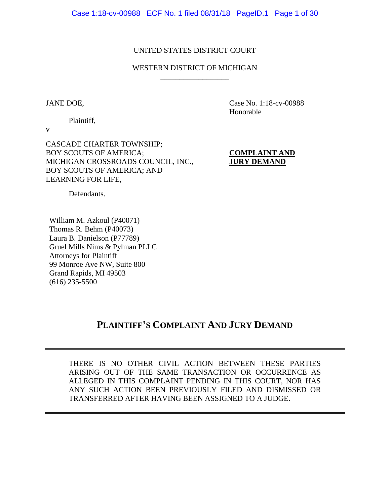## UNITED STATES DISTRICT COURT

## WESTERN DISTRICT OF MICHIGAN \_\_\_\_\_\_\_\_\_\_\_\_\_\_\_\_\_\_

JANE DOE, Case No. 1:18-cv-00988 Honorable

Plaintiff,

v

CASCADE CHARTER TOWNSHIP; BOY SCOUTS OF AMERICA; **COMPLAINT AND** MICHIGAN CROSSROADS COUNCIL, INC., **JURY DEMAND** BOY SCOUTS OF AMERICA; AND LEARNING FOR LIFE,

Defendants.

William M. Azkoul (P40071) Thomas R. Behm (P40073) Laura B. Danielson (P77789) Gruel Mills Nims & Pylman PLLC Attorneys for Plaintiff 99 Monroe Ave NW, Suite 800 Grand Rapids, MI 49503 (616) 235-5500

# **PLAINTIFF'S COMPLAINT AND JURY DEMAND**

THERE IS NO OTHER CIVIL ACTION BETWEEN THESE PARTIES ARISING OUT OF THE SAME TRANSACTION OR OCCURRENCE AS ALLEGED IN THIS COMPLAINT PENDING IN THIS COURT, NOR HAS ANY SUCH ACTION BEEN PREVIOUSLY FILED AND DISMISSED OR TRANSFERRED AFTER HAVING BEEN ASSIGNED TO A JUDGE.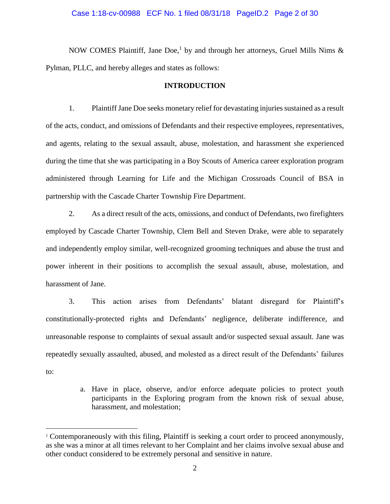#### Case 1:18-cv-00988 ECF No. 1 filed 08/31/18 PageID.2 Page 2 of 30

NOW COMES Plaintiff, Jane Doe,<sup>1</sup> by and through her attorneys, Gruel Mills Nims  $\&$ Pylman, PLLC, and hereby alleges and states as follows:

### **INTRODUCTION**

1. Plaintiff Jane Doe seeks monetary relief for devastating injuries sustained as a result of the acts, conduct, and omissions of Defendants and their respective employees, representatives, and agents, relating to the sexual assault, abuse, molestation, and harassment she experienced during the time that she was participating in a Boy Scouts of America career exploration program administered through Learning for Life and the Michigan Crossroads Council of BSA in partnership with the Cascade Charter Township Fire Department.

2. As a direct result of the acts, omissions, and conduct of Defendants, two firefighters employed by Cascade Charter Township, Clem Bell and Steven Drake, were able to separately and independently employ similar, well-recognized grooming techniques and abuse the trust and power inherent in their positions to accomplish the sexual assault, abuse, molestation, and harassment of Jane.

3. This action arises from Defendants' blatant disregard for Plaintiff's constitutionally-protected rights and Defendants' negligence, deliberate indifference, and unreasonable response to complaints of sexual assault and/or suspected sexual assault. Jane was repeatedly sexually assaulted, abused, and molested as a direct result of the Defendants' failures to:

> a. Have in place, observe, and/or enforce adequate policies to protect youth participants in the Exploring program from the known risk of sexual abuse, harassment, and molestation;

 $\overline{a}$ 

<sup>1</sup> Contemporaneously with this filing, Plaintiff is seeking a court order to proceed anonymously, as she was a minor at all times relevant to her Complaint and her claims involve sexual abuse and other conduct considered to be extremely personal and sensitive in nature.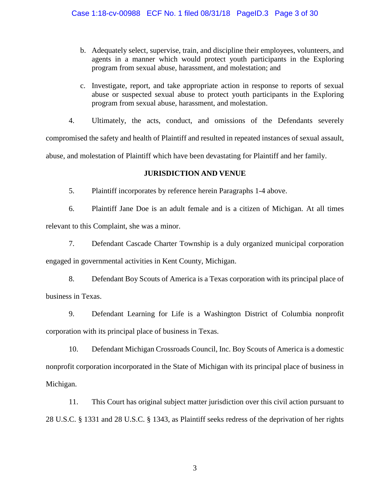- b. Adequately select, supervise, train, and discipline their employees, volunteers, and agents in a manner which would protect youth participants in the Exploring program from sexual abuse, harassment, and molestation; and
- c. Investigate, report, and take appropriate action in response to reports of sexual abuse or suspected sexual abuse to protect youth participants in the Exploring program from sexual abuse, harassment, and molestation.
- 4. Ultimately, the acts, conduct, and omissions of the Defendants severely

compromised the safety and health of Plaintiff and resulted in repeated instances of sexual assault, abuse, and molestation of Plaintiff which have been devastating for Plaintiff and her family.

## **JURISDICTION AND VENUE**

5. Plaintiff incorporates by reference herein Paragraphs 1-4 above.

6. Plaintiff Jane Doe is an adult female and is a citizen of Michigan. At all times relevant to this Complaint, she was a minor.

7. Defendant Cascade Charter Township is a duly organized municipal corporation engaged in governmental activities in Kent County, Michigan.

8. Defendant Boy Scouts of America is a Texas corporation with its principal place of business in Texas.

9. Defendant Learning for Life is a Washington District of Columbia nonprofit corporation with its principal place of business in Texas.

10. Defendant Michigan Crossroads Council, Inc. Boy Scouts of America is a domestic nonprofit corporation incorporated in the State of Michigan with its principal place of business in Michigan.

11. This Court has original subject matter jurisdiction over this civil action pursuant to 28 U.S.C. § 1331 and 28 U.S.C. § 1343, as Plaintiff seeks redress of the deprivation of her rights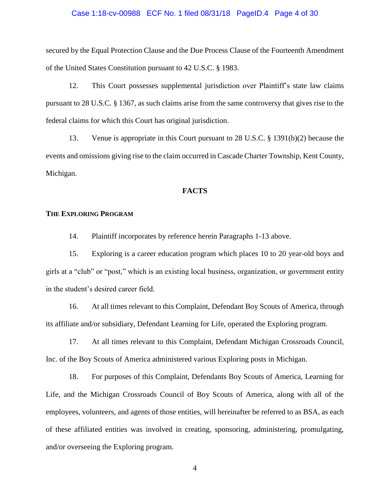### Case 1:18-cv-00988 ECF No. 1 filed 08/31/18 PageID.4 Page 4 of 30

secured by the Equal Protection Clause and the Due Process Clause of the Fourteenth Amendment of the United States Constitution pursuant to 42 U.S.C. § 1983.

12. This Court possesses supplemental jurisdiction over Plaintiff's state law claims pursuant to 28 U.S.C. § 1367, as such claims arise from the same controversy that gives rise to the federal claims for which this Court has original jurisdiction.

13. Venue is appropriate in this Court pursuant to 28 U.S.C. § 1391(b)(2) because the events and omissions giving rise to the claim occurred in Cascade Charter Township, Kent County, Michigan.

## **FACTS**

#### **THE EXPLORING PROGRAM**

14. Plaintiff incorporates by reference herein Paragraphs 1-13 above.

15. Exploring is a career education program which places 10 to 20 year-old boys and girls at a "club" or "post," which is an existing local business, organization, or government entity in the student's desired career field.

16. At all times relevant to this Complaint, Defendant Boy Scouts of America, through its affiliate and/or subsidiary, Defendant Learning for Life, operated the Exploring program.

17. At all times relevant to this Complaint, Defendant Michigan Crossroads Council, Inc. of the Boy Scouts of America administered various Exploring posts in Michigan.

18. For purposes of this Complaint, Defendants Boy Scouts of America, Learning for Life, and the Michigan Crossroads Council of Boy Scouts of America, along with all of the employees, volunteers, and agents of those entities, will hereinafter be referred to as BSA, as each of these affiliated entities was involved in creating, sponsoring, administering, promulgating, and/or overseeing the Exploring program.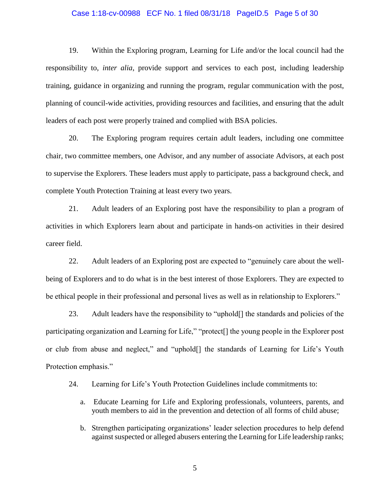#### Case 1:18-cv-00988 ECF No. 1 filed 08/31/18 PageID.5 Page 5 of 30

19. Within the Exploring program, Learning for Life and/or the local council had the responsibility to, *inter alia*, provide support and services to each post, including leadership training, guidance in organizing and running the program, regular communication with the post, planning of council-wide activities, providing resources and facilities, and ensuring that the adult leaders of each post were properly trained and complied with BSA policies.

20. The Exploring program requires certain adult leaders, including one committee chair, two committee members, one Advisor, and any number of associate Advisors, at each post to supervise the Explorers. These leaders must apply to participate, pass a background check, and complete Youth Protection Training at least every two years.

21. Adult leaders of an Exploring post have the responsibility to plan a program of activities in which Explorers learn about and participate in hands-on activities in their desired career field.

22. Adult leaders of an Exploring post are expected to "genuinely care about the wellbeing of Explorers and to do what is in the best interest of those Explorers. They are expected to be ethical people in their professional and personal lives as well as in relationship to Explorers."

23. Adult leaders have the responsibility to "uphold[] the standards and policies of the participating organization and Learning for Life," "protect[] the young people in the Explorer post or club from abuse and neglect," and "uphold[] the standards of Learning for Life's Youth Protection emphasis."

24. Learning for Life's Youth Protection Guidelines include commitments to:

- a. Educate Learning for Life and Exploring professionals, volunteers, parents, and youth members to aid in the prevention and detection of all forms of child abuse;
- b. Strengthen participating organizations' leader selection procedures to help defend against suspected or alleged abusers entering the Learning for Life leadership ranks;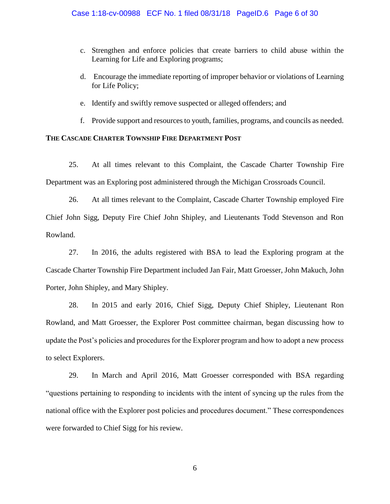- c. Strengthen and enforce policies that create barriers to child abuse within the Learning for Life and Exploring programs;
- d. Encourage the immediate reporting of improper behavior or violations of Learning for Life Policy;
- e. Identify and swiftly remove suspected or alleged offenders; and
- f. Provide support and resources to youth, families, programs, and councils as needed.

## **THE CASCADE CHARTER TOWNSHIP FIRE DEPARTMENT POST**

25. At all times relevant to this Complaint, the Cascade Charter Township Fire Department was an Exploring post administered through the Michigan Crossroads Council.

26. At all times relevant to the Complaint, Cascade Charter Township employed Fire Chief John Sigg, Deputy Fire Chief John Shipley, and Lieutenants Todd Stevenson and Ron Rowland.

27. In 2016, the adults registered with BSA to lead the Exploring program at the Cascade Charter Township Fire Department included Jan Fair, Matt Groesser, John Makuch, John Porter, John Shipley, and Mary Shipley.

28. In 2015 and early 2016, Chief Sigg, Deputy Chief Shipley, Lieutenant Ron Rowland, and Matt Groesser, the Explorer Post committee chairman, began discussing how to update the Post's policies and procedures for the Explorer program and how to adopt a new process to select Explorers.

29. In March and April 2016, Matt Groesser corresponded with BSA regarding "questions pertaining to responding to incidents with the intent of syncing up the rules from the national office with the Explorer post policies and procedures document." These correspondences were forwarded to Chief Sigg for his review.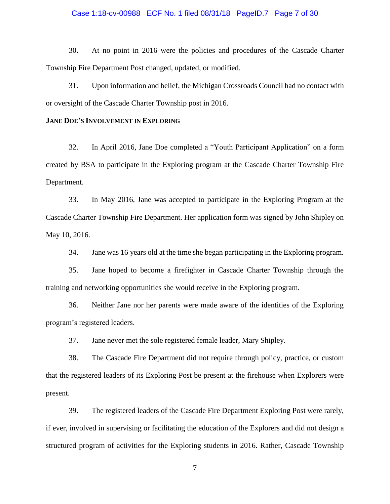### Case 1:18-cv-00988 ECF No. 1 filed 08/31/18 PageID.7 Page 7 of 30

30. At no point in 2016 were the policies and procedures of the Cascade Charter Township Fire Department Post changed, updated, or modified.

31. Upon information and belief, the Michigan Crossroads Council had no contact with or oversight of the Cascade Charter Township post in 2016.

#### **JANE DOE'S INVOLVEMENT IN EXPLORING**

32. In April 2016, Jane Doe completed a "Youth Participant Application" on a form created by BSA to participate in the Exploring program at the Cascade Charter Township Fire Department.

33. In May 2016, Jane was accepted to participate in the Exploring Program at the Cascade Charter Township Fire Department. Her application form was signed by John Shipley on May 10, 2016.

34. Jane was 16 years old at the time she began participating in the Exploring program.

35. Jane hoped to become a firefighter in Cascade Charter Township through the training and networking opportunities she would receive in the Exploring program.

36. Neither Jane nor her parents were made aware of the identities of the Exploring program's registered leaders.

37. Jane never met the sole registered female leader, Mary Shipley.

38. The Cascade Fire Department did not require through policy, practice, or custom that the registered leaders of its Exploring Post be present at the firehouse when Explorers were present.

39. The registered leaders of the Cascade Fire Department Exploring Post were rarely, if ever, involved in supervising or facilitating the education of the Explorers and did not design a structured program of activities for the Exploring students in 2016. Rather, Cascade Township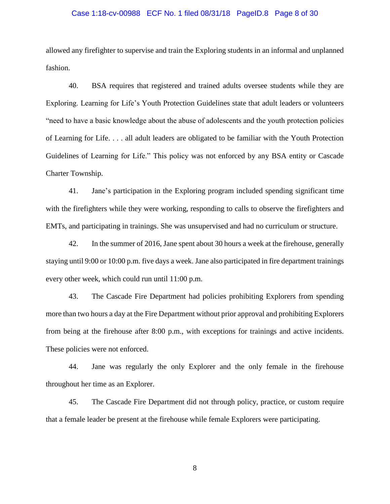#### Case 1:18-cv-00988 ECF No. 1 filed 08/31/18 PageID.8 Page 8 of 30

allowed any firefighter to supervise and train the Exploring students in an informal and unplanned fashion.

40. BSA requires that registered and trained adults oversee students while they are Exploring. Learning for Life's Youth Protection Guidelines state that adult leaders or volunteers "need to have a basic knowledge about the abuse of adolescents and the youth protection policies of Learning for Life. . . . all adult leaders are obligated to be familiar with the Youth Protection Guidelines of Learning for Life." This policy was not enforced by any BSA entity or Cascade Charter Township.

41. Jane's participation in the Exploring program included spending significant time with the firefighters while they were working, responding to calls to observe the firefighters and EMTs, and participating in trainings. She was unsupervised and had no curriculum or structure.

42. In the summer of 2016, Jane spent about 30 hours a week at the firehouse, generally staying until 9:00 or 10:00 p.m. five days a week. Jane also participated in fire department trainings every other week, which could run until 11:00 p.m.

43. The Cascade Fire Department had policies prohibiting Explorers from spending more than two hours a day at the Fire Department without prior approval and prohibiting Explorers from being at the firehouse after 8:00 p.m., with exceptions for trainings and active incidents. These policies were not enforced.

44. Jane was regularly the only Explorer and the only female in the firehouse throughout her time as an Explorer.

45. The Cascade Fire Department did not through policy, practice, or custom require that a female leader be present at the firehouse while female Explorers were participating.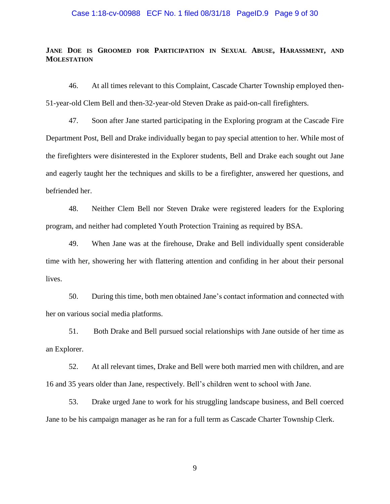### Case 1:18-cv-00988 ECF No. 1 filed 08/31/18 PageID.9 Page 9 of 30

## **JANE DOE IS GROOMED FOR PARTICIPATION IN SEXUAL ABUSE, HARASSMENT, AND MOLESTATION**

46. At all times relevant to this Complaint, Cascade Charter Township employed then-51-year-old Clem Bell and then-32-year-old Steven Drake as paid-on-call firefighters.

47. Soon after Jane started participating in the Exploring program at the Cascade Fire Department Post, Bell and Drake individually began to pay special attention to her. While most of the firefighters were disinterested in the Explorer students, Bell and Drake each sought out Jane and eagerly taught her the techniques and skills to be a firefighter, answered her questions, and befriended her.

48. Neither Clem Bell nor Steven Drake were registered leaders for the Exploring program, and neither had completed Youth Protection Training as required by BSA.

49. When Jane was at the firehouse, Drake and Bell individually spent considerable time with her, showering her with flattering attention and confiding in her about their personal lives.

50. During this time, both men obtained Jane's contact information and connected with her on various social media platforms.

51. Both Drake and Bell pursued social relationships with Jane outside of her time as an Explorer.

52. At all relevant times, Drake and Bell were both married men with children, and are 16 and 35 years older than Jane, respectively. Bell's children went to school with Jane.

53. Drake urged Jane to work for his struggling landscape business, and Bell coerced Jane to be his campaign manager as he ran for a full term as Cascade Charter Township Clerk.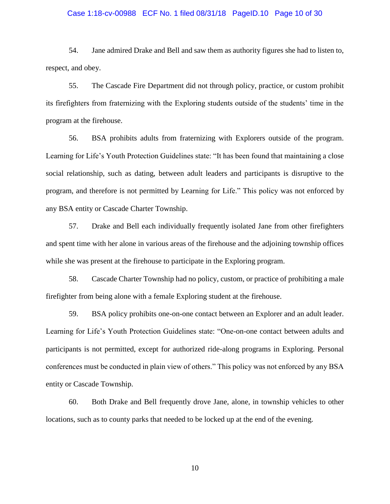#### Case 1:18-cv-00988 ECF No. 1 filed 08/31/18 PageID.10 Page 10 of 30

54. Jane admired Drake and Bell and saw them as authority figures she had to listen to, respect, and obey.

55. The Cascade Fire Department did not through policy, practice, or custom prohibit its firefighters from fraternizing with the Exploring students outside of the students' time in the program at the firehouse.

56. BSA prohibits adults from fraternizing with Explorers outside of the program. Learning for Life's Youth Protection Guidelines state: "It has been found that maintaining a close social relationship, such as dating, between adult leaders and participants is disruptive to the program, and therefore is not permitted by Learning for Life." This policy was not enforced by any BSA entity or Cascade Charter Township.

57. Drake and Bell each individually frequently isolated Jane from other firefighters and spent time with her alone in various areas of the firehouse and the adjoining township offices while she was present at the firehouse to participate in the Exploring program.

58. Cascade Charter Township had no policy, custom, or practice of prohibiting a male firefighter from being alone with a female Exploring student at the firehouse.

59. BSA policy prohibits one-on-one contact between an Explorer and an adult leader. Learning for Life's Youth Protection Guidelines state: "One-on-one contact between adults and participants is not permitted, except for authorized ride-along programs in Exploring. Personal conferences must be conducted in plain view of others." This policy was not enforced by any BSA entity or Cascade Township.

60. Both Drake and Bell frequently drove Jane, alone, in township vehicles to other locations, such as to county parks that needed to be locked up at the end of the evening.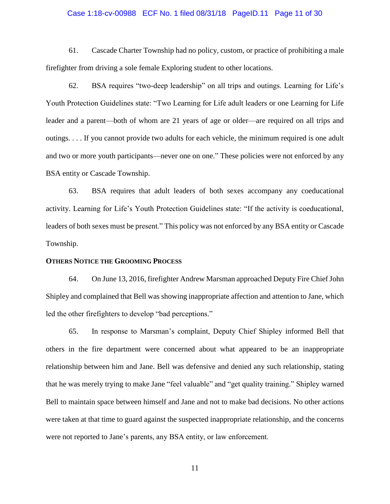#### Case 1:18-cv-00988 ECF No. 1 filed 08/31/18 PageID.11 Page 11 of 30

61. Cascade Charter Township had no policy, custom, or practice of prohibiting a male firefighter from driving a sole female Exploring student to other locations.

62. BSA requires "two-deep leadership" on all trips and outings. Learning for Life's Youth Protection Guidelines state: "Two Learning for Life adult leaders or one Learning for Life leader and a parent—both of whom are 21 years of age or older—are required on all trips and outings. . . . If you cannot provide two adults for each vehicle, the minimum required is one adult and two or more youth participants—never one on one." These policies were not enforced by any BSA entity or Cascade Township.

63. BSA requires that adult leaders of both sexes accompany any coeducational activity. Learning for Life's Youth Protection Guidelines state: "If the activity is coeducational, leaders of both sexes must be present." This policy was not enforced by any BSA entity or Cascade Township.

#### **OTHERS NOTICE THE GROOMING PROCESS**

64. On June 13, 2016, firefighter Andrew Marsman approached Deputy Fire Chief John Shipley and complained that Bell was showing inappropriate affection and attention to Jane, which led the other firefighters to develop "bad perceptions."

65. In response to Marsman's complaint, Deputy Chief Shipley informed Bell that others in the fire department were concerned about what appeared to be an inappropriate relationship between him and Jane. Bell was defensive and denied any such relationship, stating that he was merely trying to make Jane "feel valuable" and "get quality training." Shipley warned Bell to maintain space between himself and Jane and not to make bad decisions. No other actions were taken at that time to guard against the suspected inappropriate relationship, and the concerns were not reported to Jane's parents, any BSA entity, or law enforcement.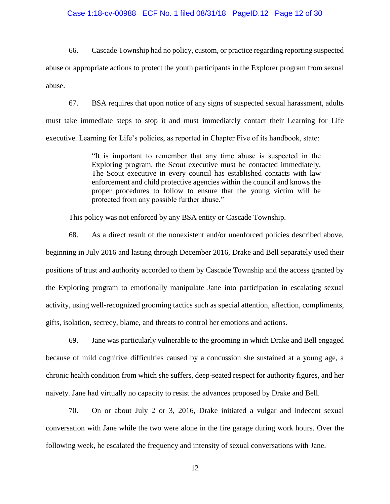#### Case 1:18-cv-00988 ECF No. 1 filed 08/31/18 PageID.12 Page 12 of 30

66. Cascade Township had no policy, custom, or practice regarding reporting suspected abuse or appropriate actions to protect the youth participants in the Explorer program from sexual abuse.

67. BSA requires that upon notice of any signs of suspected sexual harassment, adults must take immediate steps to stop it and must immediately contact their Learning for Life executive. Learning for Life's policies, as reported in Chapter Five of its handbook, state:

> "It is important to remember that any time abuse is suspected in the Exploring program, the Scout executive must be contacted immediately. The Scout executive in every council has established contacts with law enforcement and child protective agencies within the council and knows the proper procedures to follow to ensure that the young victim will be protected from any possible further abuse."

This policy was not enforced by any BSA entity or Cascade Township.

68. As a direct result of the nonexistent and/or unenforced policies described above, beginning in July 2016 and lasting through December 2016, Drake and Bell separately used their positions of trust and authority accorded to them by Cascade Township and the access granted by the Exploring program to emotionally manipulate Jane into participation in escalating sexual activity, using well-recognized grooming tactics such as special attention, affection, compliments, gifts, isolation, secrecy, blame, and threats to control her emotions and actions.

69. Jane was particularly vulnerable to the grooming in which Drake and Bell engaged because of mild cognitive difficulties caused by a concussion she sustained at a young age, a chronic health condition from which she suffers, deep-seated respect for authority figures, and her naivety. Jane had virtually no capacity to resist the advances proposed by Drake and Bell.

70. On or about July 2 or 3, 2016, Drake initiated a vulgar and indecent sexual conversation with Jane while the two were alone in the fire garage during work hours. Over the following week, he escalated the frequency and intensity of sexual conversations with Jane.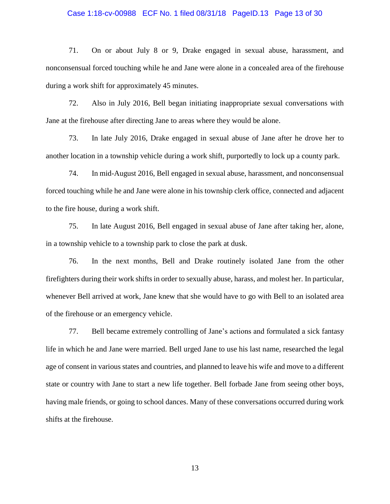#### Case 1:18-cv-00988 ECF No. 1 filed 08/31/18 PageID.13 Page 13 of 30

71. On or about July 8 or 9, Drake engaged in sexual abuse, harassment, and nonconsensual forced touching while he and Jane were alone in a concealed area of the firehouse during a work shift for approximately 45 minutes.

72. Also in July 2016, Bell began initiating inappropriate sexual conversations with Jane at the firehouse after directing Jane to areas where they would be alone.

73. In late July 2016, Drake engaged in sexual abuse of Jane after he drove her to another location in a township vehicle during a work shift, purportedly to lock up a county park.

74. In mid-August 2016, Bell engaged in sexual abuse, harassment, and nonconsensual forced touching while he and Jane were alone in his township clerk office, connected and adjacent to the fire house, during a work shift.

75. In late August 2016, Bell engaged in sexual abuse of Jane after taking her, alone, in a township vehicle to a township park to close the park at dusk.

76. In the next months, Bell and Drake routinely isolated Jane from the other firefighters during their work shifts in order to sexually abuse, harass, and molest her. In particular, whenever Bell arrived at work, Jane knew that she would have to go with Bell to an isolated area of the firehouse or an emergency vehicle.

77. Bell became extremely controlling of Jane's actions and formulated a sick fantasy life in which he and Jane were married. Bell urged Jane to use his last name, researched the legal age of consent in various states and countries, and planned to leave his wife and move to a different state or country with Jane to start a new life together. Bell forbade Jane from seeing other boys, having male friends, or going to school dances. Many of these conversations occurred during work shifts at the firehouse.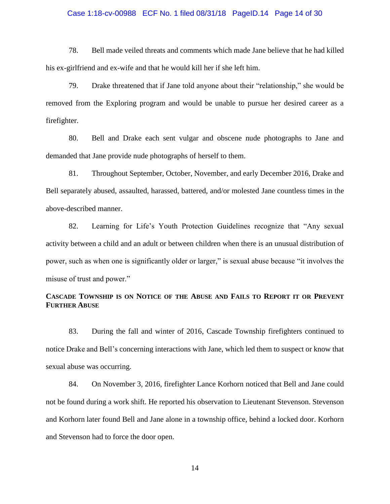#### Case 1:18-cv-00988 ECF No. 1 filed 08/31/18 PageID.14 Page 14 of 30

78. Bell made veiled threats and comments which made Jane believe that he had killed his ex-girlfriend and ex-wife and that he would kill her if she left him.

79. Drake threatened that if Jane told anyone about their "relationship," she would be removed from the Exploring program and would be unable to pursue her desired career as a firefighter.

80. Bell and Drake each sent vulgar and obscene nude photographs to Jane and demanded that Jane provide nude photographs of herself to them.

81. Throughout September, October, November, and early December 2016, Drake and Bell separately abused, assaulted, harassed, battered, and/or molested Jane countless times in the above-described manner.

82. Learning for Life's Youth Protection Guidelines recognize that "Any sexual activity between a child and an adult or between children when there is an unusual distribution of power, such as when one is significantly older or larger," is sexual abuse because "it involves the misuse of trust and power."

## **CASCADE TOWNSHIP IS ON NOTICE OF THE ABUSE AND FAILS TO REPORT IT OR PREVENT FURTHER ABUSE**

83. During the fall and winter of 2016, Cascade Township firefighters continued to notice Drake and Bell's concerning interactions with Jane, which led them to suspect or know that sexual abuse was occurring.

84. On November 3, 2016, firefighter Lance Korhorn noticed that Bell and Jane could not be found during a work shift. He reported his observation to Lieutenant Stevenson. Stevenson and Korhorn later found Bell and Jane alone in a township office, behind a locked door. Korhorn and Stevenson had to force the door open.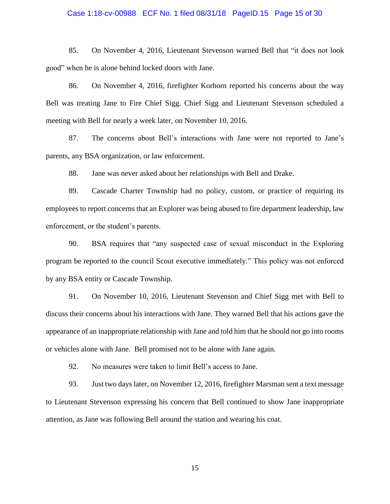#### Case 1:18-cv-00988 ECF No. 1 filed 08/31/18 PageID.15 Page 15 of 30

85. On November 4, 2016, Lieutenant Stevenson warned Bell that "it does not look good" when he is alone behind locked doors with Jane.

86. On November 4, 2016, firefighter Korhorn reported his concerns about the way Bell was treating Jane to Fire Chief Sigg. Chief Sigg and Lieutenant Stevenson scheduled a meeting with Bell for nearly a week later, on November 10, 2016.

87. The concerns about Bell's interactions with Jane were not reported to Jane's parents, any BSA organization, or law enforcement.

88. Jane was never asked about her relationships with Bell and Drake.

89. Cascade Charter Township had no policy, custom, or practice of requiring its employees to report concerns that an Explorer was being abused to fire department leadership, law enforcement, or the student's parents.

90. BSA requires that "any suspected case of sexual misconduct in the Exploring program be reported to the council Scout executive immediately." This policy was not enforced by any BSA entity or Cascade Township.

91. On November 10, 2016, Lieutenant Stevenson and Chief Sigg met with Bell to discuss their concerns about his interactions with Jane. They warned Bell that his actions gave the appearance of an inappropriate relationship with Jane and told him that he should not go into rooms or vehicles alone with Jane. Bell promised not to be alone with Jane again.

92. No measures were taken to limit Bell's access to Jane.

93. Just two days later, on November 12, 2016, firefighter Marsman sent a text message to Lieutenant Stevenson expressing his concern that Bell continued to show Jane inappropriate attention, as Jane was following Bell around the station and wearing his coat.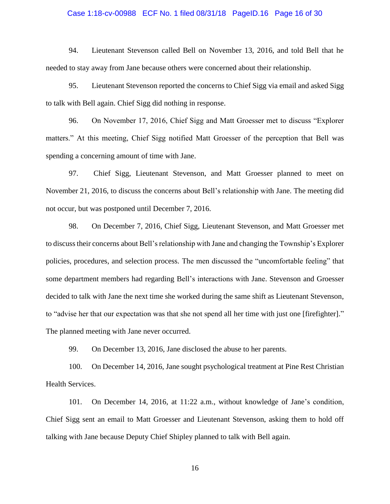#### Case 1:18-cv-00988 ECF No. 1 filed 08/31/18 PageID.16 Page 16 of 30

94. Lieutenant Stevenson called Bell on November 13, 2016, and told Bell that he needed to stay away from Jane because others were concerned about their relationship.

95. Lieutenant Stevenson reported the concerns to Chief Sigg via email and asked Sigg to talk with Bell again. Chief Sigg did nothing in response.

96. On November 17, 2016, Chief Sigg and Matt Groesser met to discuss "Explorer matters." At this meeting, Chief Sigg notified Matt Groesser of the perception that Bell was spending a concerning amount of time with Jane.

97. Chief Sigg, Lieutenant Stevenson, and Matt Groesser planned to meet on November 21, 2016, to discuss the concerns about Bell's relationship with Jane. The meeting did not occur, but was postponed until December 7, 2016.

98. On December 7, 2016, Chief Sigg, Lieutenant Stevenson, and Matt Groesser met to discuss their concerns about Bell's relationship with Jane and changing the Township's Explorer policies, procedures, and selection process. The men discussed the "uncomfortable feeling" that some department members had regarding Bell's interactions with Jane. Stevenson and Groesser decided to talk with Jane the next time she worked during the same shift as Lieutenant Stevenson, to "advise her that our expectation was that she not spend all her time with just one [firefighter]." The planned meeting with Jane never occurred.

99. On December 13, 2016, Jane disclosed the abuse to her parents.

100. On December 14, 2016, Jane sought psychological treatment at Pine Rest Christian Health Services.

101. On December 14, 2016, at 11:22 a.m., without knowledge of Jane's condition, Chief Sigg sent an email to Matt Groesser and Lieutenant Stevenson, asking them to hold off talking with Jane because Deputy Chief Shipley planned to talk with Bell again.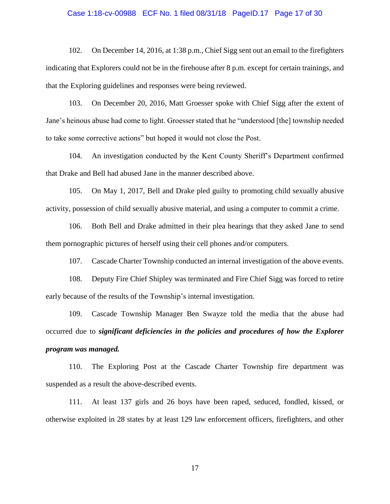#### Case 1:18-cv-00988 ECF No. 1 filed 08/31/18 PageID.17 Page 17 of 30

102. On December 14, 2016, at 1:38 p.m., Chief Sigg sent out an email to the firefighters indicating that Explorers could not be in the firehouse after 8 p.m. except for certain trainings, and that the Exploring guidelines and responses were being reviewed.

103. On December 20, 2016, Matt Groesser spoke with Chief Sigg after the extent of Jane's heinous abuse had come to light. Groesser stated that he "understood [the] township needed to take some corrective actions" but hoped it would not close the Post.

104. An investigation conducted by the Kent County Sheriff's Department confirmed that Drake and Bell had abused Jane in the manner described above.

105. On May 1, 2017, Bell and Drake pled guilty to promoting child sexually abusive activity, possession of child sexually abusive material, and using a computer to commit a crime.

106. Both Bell and Drake admitted in their plea hearings that they asked Jane to send them pornographic pictures of herself using their cell phones and/or computers.

107. Cascade Charter Township conducted an internal investigation of the above events.

108. Deputy Fire Chief Shipley was terminated and Fire Chief Sigg was forced to retire early because of the results of the Township's internal investigation.

109. Cascade Township Manager Ben Swayze told the media that the abuse had occurred due to *significant deficiencies in the policies and procedures of how the Explorer program was managed.*

110. The Exploring Post at the Cascade Charter Township fire department was suspended as a result the above-described events.

111. At least 137 girls and 26 boys have been raped, seduced, fondled, kissed, or otherwise exploited in 28 states by at least 129 law enforcement officers, firefighters, and other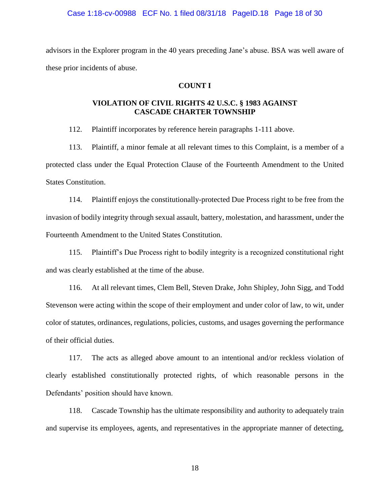#### Case 1:18-cv-00988 ECF No. 1 filed 08/31/18 PageID.18 Page 18 of 30

advisors in the Explorer program in the 40 years preceding Jane's abuse. BSA was well aware of these prior incidents of abuse.

## **COUNT I**

## **VIOLATION OF CIVIL RIGHTS 42 U.S.C. § 1983 AGAINST CASCADE CHARTER TOWNSHIP**

112. Plaintiff incorporates by reference herein paragraphs 1-111 above.

113. Plaintiff, a minor female at all relevant times to this Complaint, is a member of a protected class under the Equal Protection Clause of the Fourteenth Amendment to the United States Constitution.

114. Plaintiff enjoys the constitutionally-protected Due Process right to be free from the invasion of bodily integrity through sexual assault, battery, molestation, and harassment, under the Fourteenth Amendment to the United States Constitution.

115. Plaintiff's Due Process right to bodily integrity is a recognized constitutional right and was clearly established at the time of the abuse.

116. At all relevant times, Clem Bell, Steven Drake, John Shipley, John Sigg, and Todd Stevenson were acting within the scope of their employment and under color of law, to wit, under color of statutes, ordinances, regulations, policies, customs, and usages governing the performance of their official duties.

117. The acts as alleged above amount to an intentional and/or reckless violation of clearly established constitutionally protected rights, of which reasonable persons in the Defendants' position should have known.

118. Cascade Township has the ultimate responsibility and authority to adequately train and supervise its employees, agents, and representatives in the appropriate manner of detecting,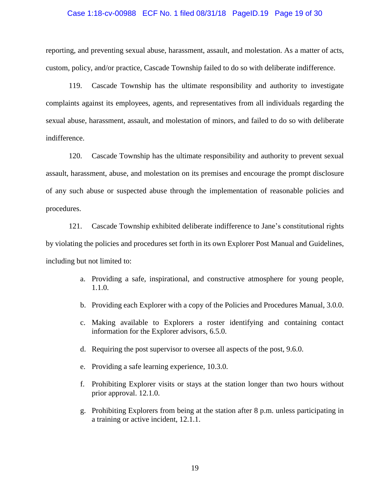#### Case 1:18-cv-00988 ECF No. 1 filed 08/31/18 PageID.19 Page 19 of 30

reporting, and preventing sexual abuse, harassment, assault, and molestation. As a matter of acts, custom, policy, and/or practice, Cascade Township failed to do so with deliberate indifference.

119. Cascade Township has the ultimate responsibility and authority to investigate complaints against its employees, agents, and representatives from all individuals regarding the sexual abuse, harassment, assault, and molestation of minors, and failed to do so with deliberate indifference.

120. Cascade Township has the ultimate responsibility and authority to prevent sexual assault, harassment, abuse, and molestation on its premises and encourage the prompt disclosure of any such abuse or suspected abuse through the implementation of reasonable policies and procedures.

121. Cascade Township exhibited deliberate indifference to Jane's constitutional rights by violating the policies and procedures set forth in its own Explorer Post Manual and Guidelines, including but not limited to:

- a. Providing a safe, inspirational, and constructive atmosphere for young people, 1.1.0.
- b. Providing each Explorer with a copy of the Policies and Procedures Manual, 3.0.0.
- c. Making available to Explorers a roster identifying and containing contact information for the Explorer advisors, 6.5.0.
- d. Requiring the post supervisor to oversee all aspects of the post, 9.6.0.
- e. Providing a safe learning experience, 10.3.0.
- f. Prohibiting Explorer visits or stays at the station longer than two hours without prior approval. 12.1.0.
- g. Prohibiting Explorers from being at the station after 8 p.m. unless participating in a training or active incident, 12.1.1.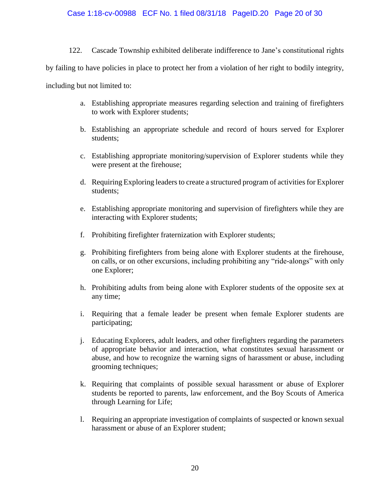122. Cascade Township exhibited deliberate indifference to Jane's constitutional rights

by failing to have policies in place to protect her from a violation of her right to bodily integrity,

including but not limited to:

- a. Establishing appropriate measures regarding selection and training of firefighters to work with Explorer students;
- b. Establishing an appropriate schedule and record of hours served for Explorer students;
- c. Establishing appropriate monitoring/supervision of Explorer students while they were present at the firehouse;
- d. Requiring Exploring leaders to create a structured program of activities for Explorer students;
- e. Establishing appropriate monitoring and supervision of firefighters while they are interacting with Explorer students;
- f. Prohibiting firefighter fraternization with Explorer students;
- g. Prohibiting firefighters from being alone with Explorer students at the firehouse, on calls, or on other excursions, including prohibiting any "ride-alongs" with only one Explorer;
- h. Prohibiting adults from being alone with Explorer students of the opposite sex at any time;
- i. Requiring that a female leader be present when female Explorer students are participating;
- j. Educating Explorers, adult leaders, and other firefighters regarding the parameters of appropriate behavior and interaction, what constitutes sexual harassment or abuse, and how to recognize the warning signs of harassment or abuse, including grooming techniques;
- k. Requiring that complaints of possible sexual harassment or abuse of Explorer students be reported to parents, law enforcement, and the Boy Scouts of America through Learning for Life;
- l. Requiring an appropriate investigation of complaints of suspected or known sexual harassment or abuse of an Explorer student;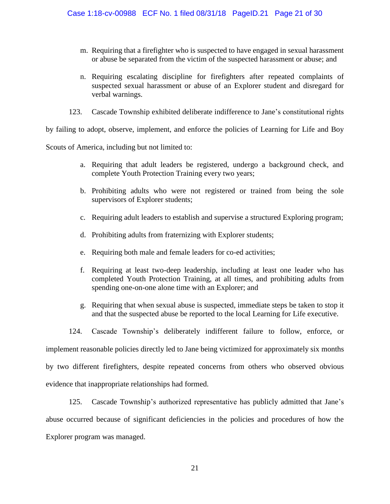- m. Requiring that a firefighter who is suspected to have engaged in sexual harassment or abuse be separated from the victim of the suspected harassment or abuse; and
- n. Requiring escalating discipline for firefighters after repeated complaints of suspected sexual harassment or abuse of an Explorer student and disregard for verbal warnings.
- 123. Cascade Township exhibited deliberate indifference to Jane's constitutional rights

by failing to adopt, observe, implement, and enforce the policies of Learning for Life and Boy

Scouts of America, including but not limited to:

- a. Requiring that adult leaders be registered, undergo a background check, and complete Youth Protection Training every two years;
- b. Prohibiting adults who were not registered or trained from being the sole supervisors of Explorer students;
- c. Requiring adult leaders to establish and supervise a structured Exploring program;
- d. Prohibiting adults from fraternizing with Explorer students;
- e. Requiring both male and female leaders for co-ed activities;
- f. Requiring at least two-deep leadership, including at least one leader who has completed Youth Protection Training, at all times, and prohibiting adults from spending one-on-one alone time with an Explorer; and
- g. Requiring that when sexual abuse is suspected, immediate steps be taken to stop it and that the suspected abuse be reported to the local Learning for Life executive.
- 124. Cascade Township's deliberately indifferent failure to follow, enforce, or

implement reasonable policies directly led to Jane being victimized for approximately six months

by two different firefighters, despite repeated concerns from others who observed obvious evidence that inappropriate relationships had formed.

125. Cascade Township's authorized representative has publicly admitted that Jane's abuse occurred because of significant deficiencies in the policies and procedures of how the Explorer program was managed.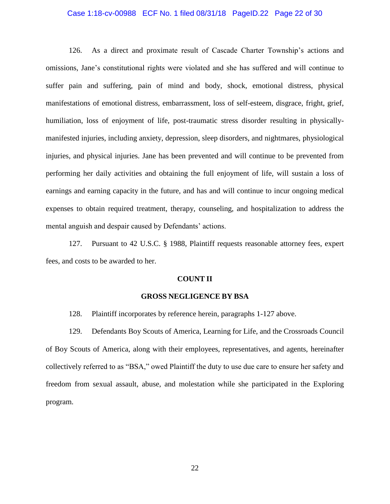#### Case 1:18-cv-00988 ECF No. 1 filed 08/31/18 PageID.22 Page 22 of 30

126. As a direct and proximate result of Cascade Charter Township's actions and omissions, Jane's constitutional rights were violated and she has suffered and will continue to suffer pain and suffering, pain of mind and body, shock, emotional distress, physical manifestations of emotional distress, embarrassment, loss of self-esteem, disgrace, fright, grief, humiliation, loss of enjoyment of life, post-traumatic stress disorder resulting in physicallymanifested injuries, including anxiety, depression, sleep disorders, and nightmares, physiological injuries, and physical injuries. Jane has been prevented and will continue to be prevented from performing her daily activities and obtaining the full enjoyment of life, will sustain a loss of earnings and earning capacity in the future, and has and will continue to incur ongoing medical expenses to obtain required treatment, therapy, counseling, and hospitalization to address the mental anguish and despair caused by Defendants' actions.

127. Pursuant to 42 U.S.C. § 1988, Plaintiff requests reasonable attorney fees, expert fees, and costs to be awarded to her.

#### **COUNT II**

### **GROSS NEGLIGENCE BY BSA**

128. Plaintiff incorporates by reference herein, paragraphs 1-127 above.

129. Defendants Boy Scouts of America, Learning for Life, and the Crossroads Council of Boy Scouts of America, along with their employees, representatives, and agents, hereinafter collectively referred to as "BSA," owed Plaintiff the duty to use due care to ensure her safety and freedom from sexual assault, abuse, and molestation while she participated in the Exploring program.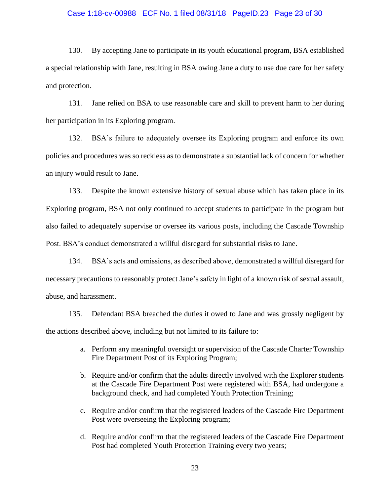#### Case 1:18-cv-00988 ECF No. 1 filed 08/31/18 PageID.23 Page 23 of 30

130. By accepting Jane to participate in its youth educational program, BSA established a special relationship with Jane, resulting in BSA owing Jane a duty to use due care for her safety and protection.

131. Jane relied on BSA to use reasonable care and skill to prevent harm to her during her participation in its Exploring program.

132. BSA's failure to adequately oversee its Exploring program and enforce its own policies and procedures was so reckless as to demonstrate a substantial lack of concern for whether an injury would result to Jane.

133. Despite the known extensive history of sexual abuse which has taken place in its Exploring program, BSA not only continued to accept students to participate in the program but also failed to adequately supervise or oversee its various posts, including the Cascade Township Post. BSA's conduct demonstrated a willful disregard for substantial risks to Jane.

134. BSA's acts and omissions, as described above, demonstrated a willful disregard for necessary precautions to reasonably protect Jane's safety in light of a known risk of sexual assault, abuse, and harassment.

135. Defendant BSA breached the duties it owed to Jane and was grossly negligent by the actions described above, including but not limited to its failure to:

- a. Perform any meaningful oversight or supervision of the Cascade Charter Township Fire Department Post of its Exploring Program;
- b. Require and/or confirm that the adults directly involved with the Explorer students at the Cascade Fire Department Post were registered with BSA, had undergone a background check, and had completed Youth Protection Training;
- c. Require and/or confirm that the registered leaders of the Cascade Fire Department Post were overseeing the Exploring program;
- d. Require and/or confirm that the registered leaders of the Cascade Fire Department Post had completed Youth Protection Training every two years;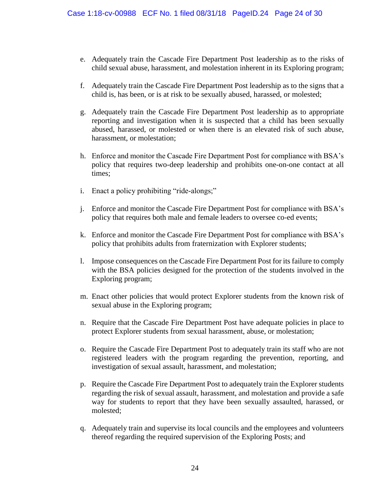- e. Adequately train the Cascade Fire Department Post leadership as to the risks of child sexual abuse, harassment, and molestation inherent in its Exploring program;
- f. Adequately train the Cascade Fire Department Post leadership as to the signs that a child is, has been, or is at risk to be sexually abused, harassed, or molested;
- g. Adequately train the Cascade Fire Department Post leadership as to appropriate reporting and investigation when it is suspected that a child has been sexually abused, harassed, or molested or when there is an elevated risk of such abuse, harassment, or molestation;
- h. Enforce and monitor the Cascade Fire Department Post for compliance with BSA's policy that requires two-deep leadership and prohibits one-on-one contact at all times;
- i. Enact a policy prohibiting "ride-alongs;"
- j. Enforce and monitor the Cascade Fire Department Post for compliance with BSA's policy that requires both male and female leaders to oversee co-ed events;
- k. Enforce and monitor the Cascade Fire Department Post for compliance with BSA's policy that prohibits adults from fraternization with Explorer students;
- l. Impose consequences on the Cascade Fire Department Post for its failure to comply with the BSA policies designed for the protection of the students involved in the Exploring program;
- m. Enact other policies that would protect Explorer students from the known risk of sexual abuse in the Exploring program;
- n. Require that the Cascade Fire Department Post have adequate policies in place to protect Explorer students from sexual harassment, abuse, or molestation;
- o. Require the Cascade Fire Department Post to adequately train its staff who are not registered leaders with the program regarding the prevention, reporting, and investigation of sexual assault, harassment, and molestation;
- p. Require the Cascade Fire Department Post to adequately train the Explorer students regarding the risk of sexual assault, harassment, and molestation and provide a safe way for students to report that they have been sexually assaulted, harassed, or molested;
- q. Adequately train and supervise its local councils and the employees and volunteers thereof regarding the required supervision of the Exploring Posts; and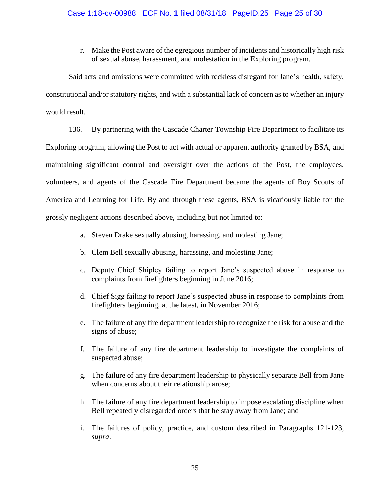r. Make the Post aware of the egregious number of incidents and historically high risk of sexual abuse, harassment, and molestation in the Exploring program.

Said acts and omissions were committed with reckless disregard for Jane's health, safety, constitutional and/or statutory rights, and with a substantial lack of concern as to whether an injury would result.

136. By partnering with the Cascade Charter Township Fire Department to facilitate its Exploring program, allowing the Post to act with actual or apparent authority granted by BSA, and maintaining significant control and oversight over the actions of the Post, the employees, volunteers, and agents of the Cascade Fire Department became the agents of Boy Scouts of America and Learning for Life. By and through these agents, BSA is vicariously liable for the grossly negligent actions described above, including but not limited to:

- a. Steven Drake sexually abusing, harassing, and molesting Jane;
- b. Clem Bell sexually abusing, harassing, and molesting Jane;
- c. Deputy Chief Shipley failing to report Jane's suspected abuse in response to complaints from firefighters beginning in June 2016;
- d. Chief Sigg failing to report Jane's suspected abuse in response to complaints from firefighters beginning, at the latest, in November 2016;
- e. The failure of any fire department leadership to recognize the risk for abuse and the signs of abuse;
- f. The failure of any fire department leadership to investigate the complaints of suspected abuse;
- g. The failure of any fire department leadership to physically separate Bell from Jane when concerns about their relationship arose;
- h. The failure of any fire department leadership to impose escalating discipline when Bell repeatedly disregarded orders that he stay away from Jane; and
- i. The failures of policy, practice, and custom described in Paragraphs 121-123, *supra*.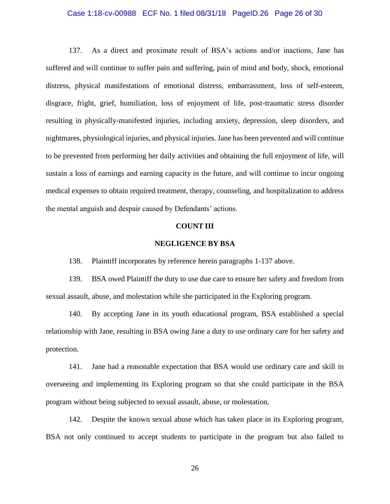#### Case 1:18-cv-00988 ECF No. 1 filed 08/31/18 PageID.26 Page 26 of 30

137. As a direct and proximate result of BSA's actions and/or inactions, Jane has suffered and will continue to suffer pain and suffering, pain of mind and body, shock, emotional distress, physical manifestations of emotional distress, embarrassment, loss of self-esteem, disgrace, fright, grief, humiliation, loss of enjoyment of life, post-traumatic stress disorder resulting in physically-manifested injuries, including anxiety, depression, sleep disorders, and nightmares, physiological injuries, and physical injuries. Jane has been prevented and will continue to be prevented from performing her daily activities and obtaining the full enjoyment of life, will sustain a loss of earnings and earning capacity in the future, and will continue to incur ongoing medical expenses to obtain required treatment, therapy, counseling, and hospitalization to address the mental anguish and despair caused by Defendants' actions.

#### **COUNT III**

#### **NEGLIGENCE BY BSA**

138. Plaintiff incorporates by reference herein paragraphs 1-137 above.

139. BSA owed Plaintiff the duty to use due care to ensure her safety and freedom from sexual assault, abuse, and molestation while she participated in the Exploring program.

140. By accepting Jane in its youth educational program, BSA established a special relationship with Jane, resulting in BSA owing Jane a duty to use ordinary care for her safety and protection.

141. Jane had a reasonable expectation that BSA would use ordinary care and skill in overseeing and implementing its Exploring program so that she could participate in the BSA program without being subjected to sexual assault, abuse, or molestation.

142. Despite the known sexual abuse which has taken place in its Exploring program, BSA not only continued to accept students to participate in the program but also failed to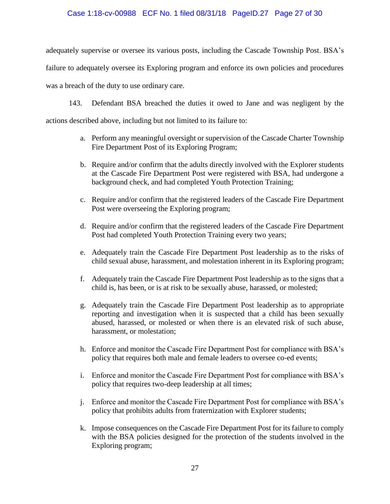## Case 1:18-cv-00988 ECF No. 1 filed 08/31/18 PageID.27 Page 27 of 30

adequately supervise or oversee its various posts, including the Cascade Township Post. BSA's failure to adequately oversee its Exploring program and enforce its own policies and procedures was a breach of the duty to use ordinary care.

143. Defendant BSA breached the duties it owed to Jane and was negligent by the

actions described above, including but not limited to its failure to:

- a. Perform any meaningful oversight or supervision of the Cascade Charter Township Fire Department Post of its Exploring Program;
- b. Require and/or confirm that the adults directly involved with the Explorer students at the Cascade Fire Department Post were registered with BSA, had undergone a background check, and had completed Youth Protection Training;
- c. Require and/or confirm that the registered leaders of the Cascade Fire Department Post were overseeing the Exploring program;
- d. Require and/or confirm that the registered leaders of the Cascade Fire Department Post had completed Youth Protection Training every two years;
- e. Adequately train the Cascade Fire Department Post leadership as to the risks of child sexual abuse, harassment, and molestation inherent in its Exploring program;
- f. Adequately train the Cascade Fire Department Post leadership as to the signs that a child is, has been, or is at risk to be sexually abuse, harassed, or molested;
- g. Adequately train the Cascade Fire Department Post leadership as to appropriate reporting and investigation when it is suspected that a child has been sexually abused, harassed, or molested or when there is an elevated risk of such abuse, harassment, or molestation;
- h. Enforce and monitor the Cascade Fire Department Post for compliance with BSA's policy that requires both male and female leaders to oversee co-ed events;
- i. Enforce and monitor the Cascade Fire Department Post for compliance with BSA's policy that requires two-deep leadership at all times;
- j. Enforce and monitor the Cascade Fire Department Post for compliance with BSA's policy that prohibits adults from fraternization with Explorer students;
- k. Impose consequences on the Cascade Fire Department Post for its failure to comply with the BSA policies designed for the protection of the students involved in the Exploring program;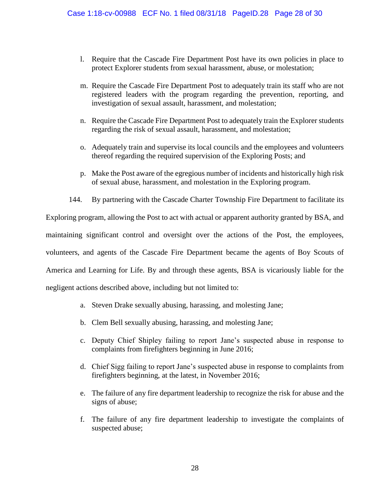- l. Require that the Cascade Fire Department Post have its own policies in place to protect Explorer students from sexual harassment, abuse, or molestation;
- m. Require the Cascade Fire Department Post to adequately train its staff who are not registered leaders with the program regarding the prevention, reporting, and investigation of sexual assault, harassment, and molestation;
- n. Require the Cascade Fire Department Post to adequately train the Explorer students regarding the risk of sexual assault, harassment, and molestation;
- o. Adequately train and supervise its local councils and the employees and volunteers thereof regarding the required supervision of the Exploring Posts; and
- p. Make the Post aware of the egregious number of incidents and historically high risk of sexual abuse, harassment, and molestation in the Exploring program.
- 144. By partnering with the Cascade Charter Township Fire Department to facilitate its

Exploring program, allowing the Post to act with actual or apparent authority granted by BSA, and maintaining significant control and oversight over the actions of the Post, the employees, volunteers, and agents of the Cascade Fire Department became the agents of Boy Scouts of America and Learning for Life. By and through these agents, BSA is vicariously liable for the negligent actions described above, including but not limited to:

- a. Steven Drake sexually abusing, harassing, and molesting Jane;
- b. Clem Bell sexually abusing, harassing, and molesting Jane;
- c. Deputy Chief Shipley failing to report Jane's suspected abuse in response to complaints from firefighters beginning in June 2016;
- d. Chief Sigg failing to report Jane's suspected abuse in response to complaints from firefighters beginning, at the latest, in November 2016;
- e. The failure of any fire department leadership to recognize the risk for abuse and the signs of abuse;
- f. The failure of any fire department leadership to investigate the complaints of suspected abuse;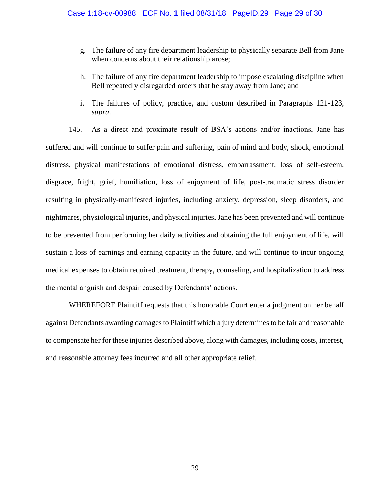- g. The failure of any fire department leadership to physically separate Bell from Jane when concerns about their relationship arose;
- h. The failure of any fire department leadership to impose escalating discipline when Bell repeatedly disregarded orders that he stay away from Jane; and
- i. The failures of policy, practice, and custom described in Paragraphs 121-123, *supra*.

145. As a direct and proximate result of BSA's actions and/or inactions, Jane has suffered and will continue to suffer pain and suffering, pain of mind and body, shock, emotional distress, physical manifestations of emotional distress, embarrassment, loss of self-esteem, disgrace, fright, grief, humiliation, loss of enjoyment of life, post-traumatic stress disorder resulting in physically-manifested injuries, including anxiety, depression, sleep disorders, and nightmares, physiological injuries, and physical injuries. Jane has been prevented and will continue to be prevented from performing her daily activities and obtaining the full enjoyment of life, will sustain a loss of earnings and earning capacity in the future, and will continue to incur ongoing medical expenses to obtain required treatment, therapy, counseling, and hospitalization to address the mental anguish and despair caused by Defendants' actions.

WHEREFORE Plaintiff requests that this honorable Court enter a judgment on her behalf against Defendants awarding damages to Plaintiff which a jury determines to be fair and reasonable to compensate her for these injuries described above, along with damages, including costs, interest, and reasonable attorney fees incurred and all other appropriate relief.